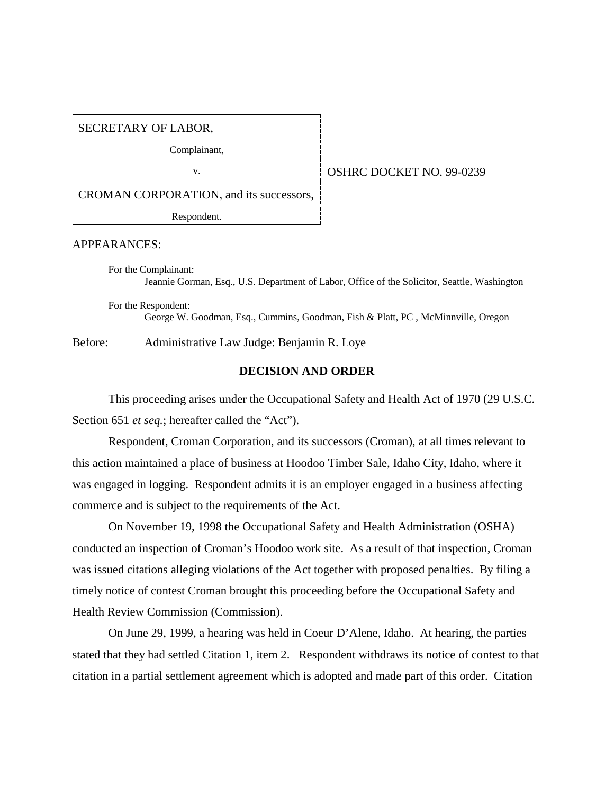SECRETARY OF LABOR,

Complainant,

v. 0SHRC DOCKET NO. 99-0239

CROMAN CORPORATION, and its successors,

Respondent.

#### APPEARANCES:

For the Complainant: Jeannie Gorman, Esq., U.S. Department of Labor, Office of the Solicitor, Seattle, Washington

For the Respondent: George W. Goodman, Esq., Cummins, Goodman, Fish & Platt, PC , McMinnville, Oregon

Before: Administrative Law Judge: Benjamin R. Loye

### **DECISION AND ORDER**

This proceeding arises under the Occupational Safety and Health Act of 1970 (29 U.S.C. Section 651 *et seq.*; hereafter called the "Act").

Respondent, Croman Corporation, and its successors (Croman), at all times relevant to this action maintained a place of business at Hoodoo Timber Sale, Idaho City, Idaho, where it was engaged in logging. Respondent admits it is an employer engaged in a business affecting commerce and is subject to the requirements of the Act.

On November 19, 1998 the Occupational Safety and Health Administration (OSHA) conducted an inspection of Croman's Hoodoo work site. As a result of that inspection, Croman was issued citations alleging violations of the Act together with proposed penalties. By filing a timely notice of contest Croman brought this proceeding before the Occupational Safety and Health Review Commission (Commission).

On June 29, 1999, a hearing was held in Coeur D'Alene, Idaho. At hearing, the parties stated that they had settled Citation 1, item 2. Respondent withdraws its notice of contest to that citation in a partial settlement agreement which is adopted and made part of this order. Citation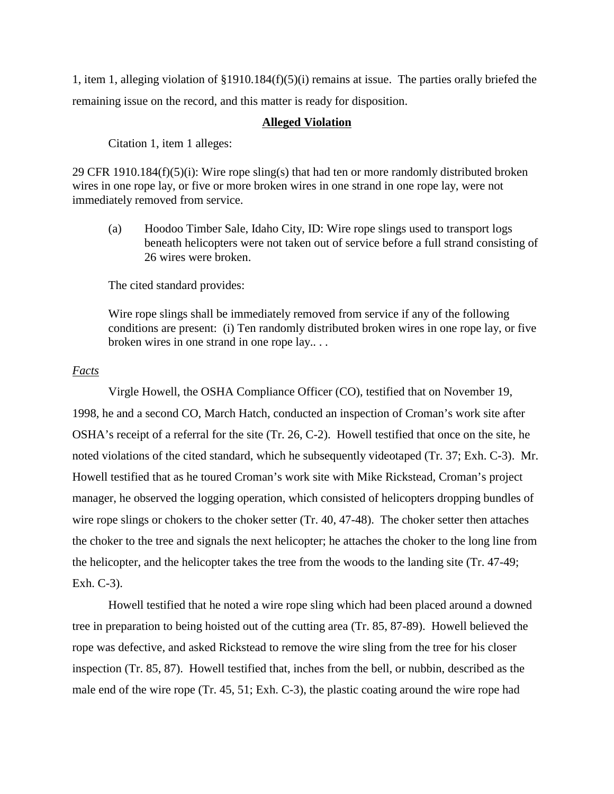1, item 1, alleging violation of §1910.184(f)(5)(i) remains at issue. The parties orally briefed the remaining issue on the record, and this matter is ready for disposition.

#### **Alleged Violation**

Citation 1, item 1 alleges:

29 CFR 1910.184(f)(5)(i): Wire rope sling(s) that had ten or more randomly distributed broken wires in one rope lay, or five or more broken wires in one strand in one rope lay, were not immediately removed from service.

(a) Hoodoo Timber Sale, Idaho City, ID: Wire rope slings used to transport logs beneath helicopters were not taken out of service before a full strand consisting of 26 wires were broken.

The cited standard provides:

Wire rope slings shall be immediately removed from service if any of the following conditions are present: (i) Ten randomly distributed broken wires in one rope lay, or five broken wires in one strand in one rope lay.. . .

## *Facts*

Virgle Howell, the OSHA Compliance Officer (CO), testified that on November 19, 1998, he and a second CO, March Hatch, conducted an inspection of Croman's work site after OSHA's receipt of a referral for the site (Tr. 26, C-2). Howell testified that once on the site, he noted violations of the cited standard, which he subsequently videotaped (Tr. 37; Exh. C-3). Mr. Howell testified that as he toured Croman's work site with Mike Rickstead, Croman's project manager, he observed the logging operation, which consisted of helicopters dropping bundles of wire rope slings or chokers to the choker setter (Tr. 40, 47-48). The choker setter then attaches the choker to the tree and signals the next helicopter; he attaches the choker to the long line from the helicopter, and the helicopter takes the tree from the woods to the landing site (Tr. 47-49; Exh. C-3).

Howell testified that he noted a wire rope sling which had been placed around a downed tree in preparation to being hoisted out of the cutting area (Tr. 85, 87-89). Howell believed the rope was defective, and asked Rickstead to remove the wire sling from the tree for his closer inspection (Tr. 85, 87). Howell testified that, inches from the bell, or nubbin, described as the male end of the wire rope (Tr. 45, 51; Exh. C-3), the plastic coating around the wire rope had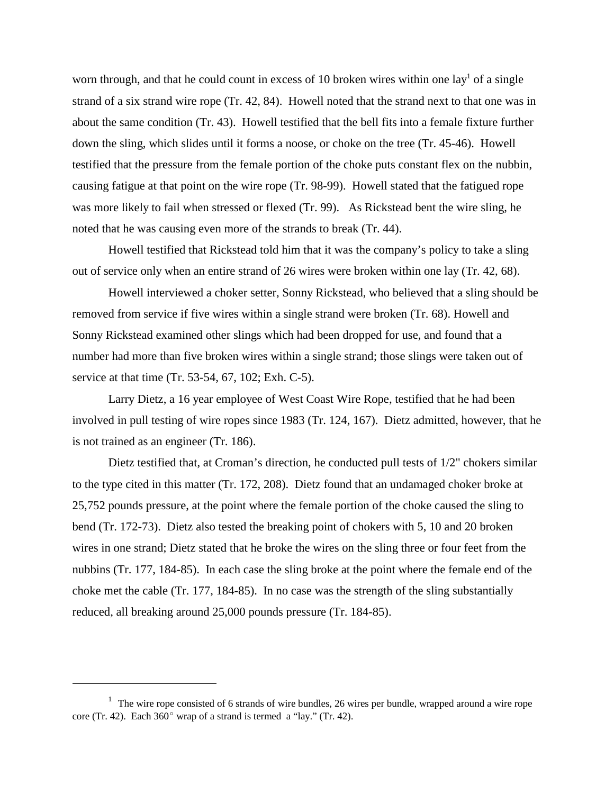worn through, and that he could count in excess of 10 broken wires within one lay<sup>1</sup> of a single strand of a six strand wire rope (Tr. 42, 84). Howell noted that the strand next to that one was in about the same condition (Tr. 43). Howell testified that the bell fits into a female fixture further down the sling, which slides until it forms a noose, or choke on the tree (Tr. 45-46). Howell testified that the pressure from the female portion of the choke puts constant flex on the nubbin, causing fatigue at that point on the wire rope (Tr. 98-99). Howell stated that the fatigued rope was more likely to fail when stressed or flexed (Tr. 99). As Rickstead bent the wire sling, he noted that he was causing even more of the strands to break (Tr. 44).

Howell testified that Rickstead told him that it was the company's policy to take a sling out of service only when an entire strand of 26 wires were broken within one lay (Tr. 42, 68).

Howell interviewed a choker setter, Sonny Rickstead, who believed that a sling should be removed from service if five wires within a single strand were broken (Tr. 68). Howell and Sonny Rickstead examined other slings which had been dropped for use, and found that a number had more than five broken wires within a single strand; those slings were taken out of service at that time (Tr. 53-54, 67, 102; Exh. C-5).

Larry Dietz, a 16 year employee of West Coast Wire Rope, testified that he had been involved in pull testing of wire ropes since 1983 (Tr. 124, 167). Dietz admitted, however, that he is not trained as an engineer (Tr. 186).

Dietz testified that, at Croman's direction, he conducted pull tests of 1/2" chokers similar to the type cited in this matter (Tr. 172, 208). Dietz found that an undamaged choker broke at 25,752 pounds pressure, at the point where the female portion of the choke caused the sling to bend (Tr. 172-73). Dietz also tested the breaking point of chokers with 5, 10 and 20 broken wires in one strand; Dietz stated that he broke the wires on the sling three or four feet from the nubbins (Tr. 177, 184-85). In each case the sling broke at the point where the female end of the choke met the cable (Tr. 177, 184-85). In no case was the strength of the sling substantially reduced, all breaking around 25,000 pounds pressure (Tr. 184-85).

 $1$  The wire rope consisted of 6 strands of wire bundles, 26 wires per bundle, wrapped around a wire rope core (Tr. 42). Each  $360^{\circ}$  wrap of a strand is termed a "lay." (Tr. 42).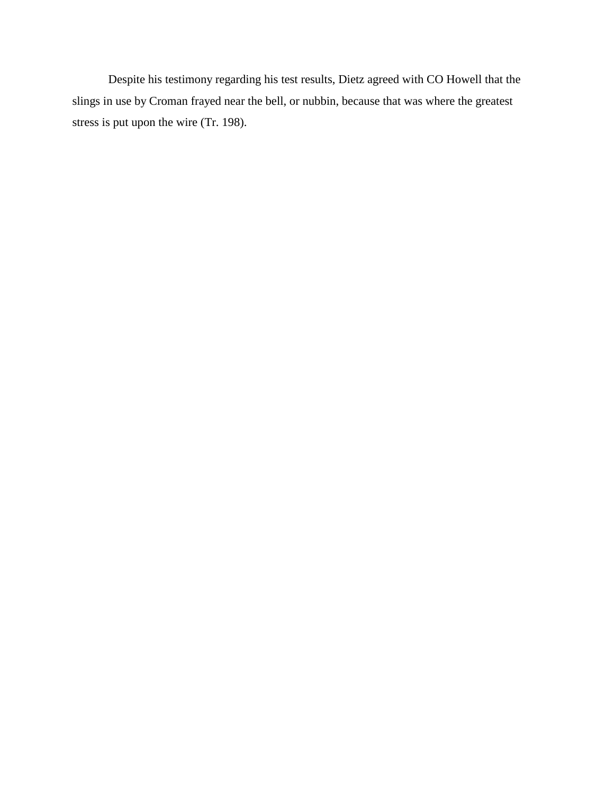Despite his testimony regarding his test results, Dietz agreed with CO Howell that the slings in use by Croman frayed near the bell, or nubbin, because that was where the greatest stress is put upon the wire (Tr. 198).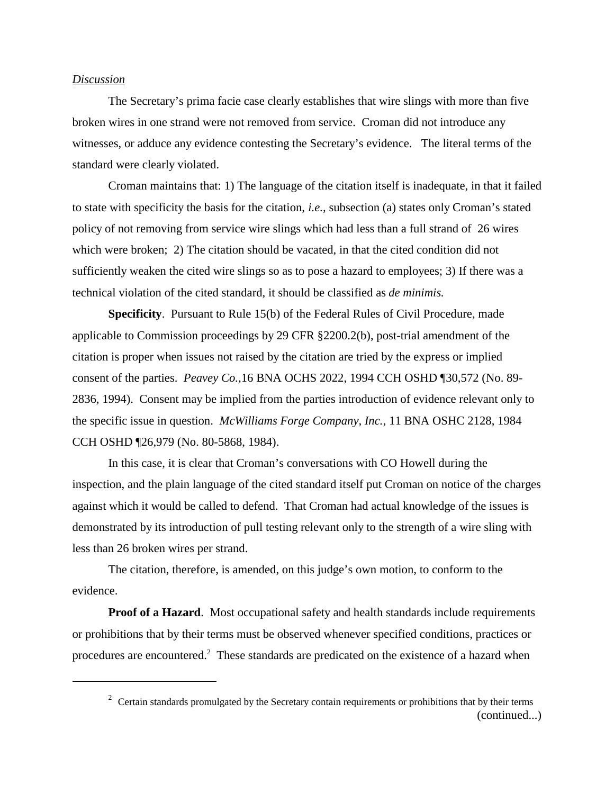## *Discussion*

The Secretary's prima facie case clearly establishes that wire slings with more than five broken wires in one strand were not removed from service. Croman did not introduce any witnesses, or adduce any evidence contesting the Secretary's evidence. The literal terms of the standard were clearly violated.

Croman maintains that: 1) The language of the citation itself is inadequate, in that it failed to state with specificity the basis for the citation, *i.e.,* subsection (a) states only Croman's stated policy of not removing from service wire slings which had less than a full strand of 26 wires which were broken; 2) The citation should be vacated, in that the cited condition did not sufficiently weaken the cited wire slings so as to pose a hazard to employees; 3) If there was a technical violation of the cited standard, it should be classified as *de minimis.*

**Specificity**. Pursuant to Rule 15(b) of the Federal Rules of Civil Procedure, made applicable to Commission proceedings by 29 CFR §2200.2(b), post-trial amendment of the citation is proper when issues not raised by the citation are tried by the express or implied consent of the parties. *Peavey Co.,*16 BNA OCHS 2022, 1994 CCH OSHD ¶30,572 (No. 89- 2836, 1994). Consent may be implied from the parties introduction of evidence relevant only to the specific issue in question. *McWilliams Forge Company, Inc.*, 11 BNA OSHC 2128, 1984 CCH OSHD ¶26,979 (No. 80-5868, 1984).

In this case, it is clear that Croman's conversations with CO Howell during the inspection, and the plain language of the cited standard itself put Croman on notice of the charges against which it would be called to defend. That Croman had actual knowledge of the issues is demonstrated by its introduction of pull testing relevant only to the strength of a wire sling with less than 26 broken wires per strand.

The citation, therefore, is amended, on this judge's own motion, to conform to the evidence.

**Proof of a Hazard.** Most occupational safety and health standards include requirements or prohibitions that by their terms must be observed whenever specified conditions, practices or procedures are encountered.<sup>2</sup> These standards are predicated on the existence of a hazard when

 $2^2$  Certain standards promulgated by the Secretary contain requirements or prohibitions that by their terms (continued...)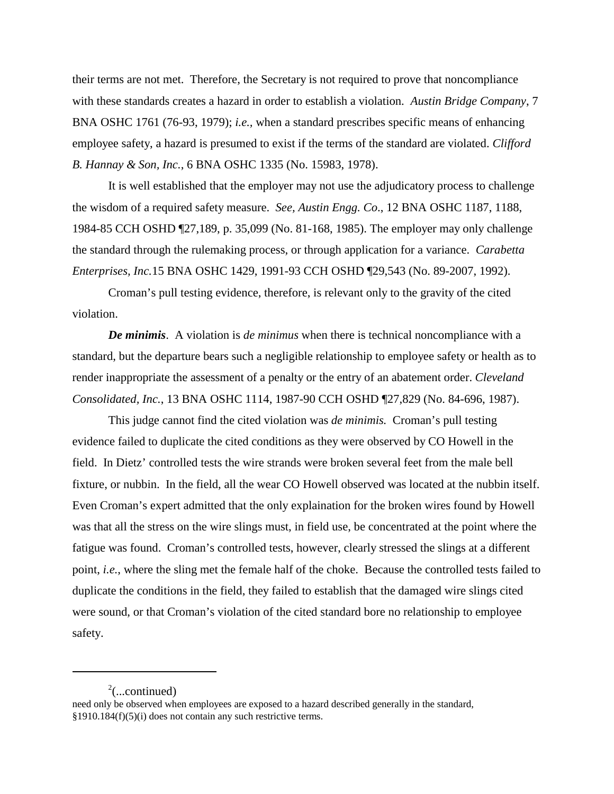their terms are not met. Therefore, the Secretary is not required to prove that noncompliance with these standards creates a hazard in order to establish a violation. *Austin Bridge Company*, 7 BNA OSHC 1761 (76-93, 1979); *i.e.,* when a standard prescribes specific means of enhancing employee safety, a hazard is presumed to exist if the terms of the standard are violated. *Clifford B. Hannay & Son, Inc.*, 6 BNA OSHC 1335 (No. 15983, 1978).

It is well established that the employer may not use the adjudicatory process to challenge the wisdom of a required safety measure. *See, Austin Engg. Co*., 12 BNA OSHC 1187, 1188, 1984-85 CCH OSHD ¶27,189, p. 35,099 (No. 81-168, 1985). The employer may only challenge the standard through the rulemaking process, or through application for a variance. *Carabetta Enterprises, Inc.*15 BNA OSHC 1429, 1991-93 CCH OSHD ¶29,543 (No. 89-2007, 1992).

Croman's pull testing evidence, therefore, is relevant only to the gravity of the cited violation.

*De minimis*. A violation is *de minimus* when there is technical noncompliance with a standard, but the departure bears such a negligible relationship to employee safety or health as to render inappropriate the assessment of a penalty or the entry of an abatement order. *Cleveland Consolidated, Inc.*, 13 BNA OSHC 1114, 1987-90 CCH OSHD ¶27,829 (No. 84-696, 1987).

This judge cannot find the cited violation was *de minimis.* Croman's pull testing evidence failed to duplicate the cited conditions as they were observed by CO Howell in the field. In Dietz' controlled tests the wire strands were broken several feet from the male bell fixture, or nubbin. In the field, all the wear CO Howell observed was located at the nubbin itself. Even Croman's expert admitted that the only explaination for the broken wires found by Howell was that all the stress on the wire slings must, in field use, be concentrated at the point where the fatigue was found. Croman's controlled tests, however, clearly stressed the slings at a different point, *i.e.*, where the sling met the female half of the choke. Because the controlled tests failed to duplicate the conditions in the field, they failed to establish that the damaged wire slings cited were sound, or that Croman's violation of the cited standard bore no relationship to employee safety.

 $2^2$ (...continued)

need only be observed when employees are exposed to a hazard described generally in the standard, §1910.184(f)(5)(i) does not contain any such restrictive terms.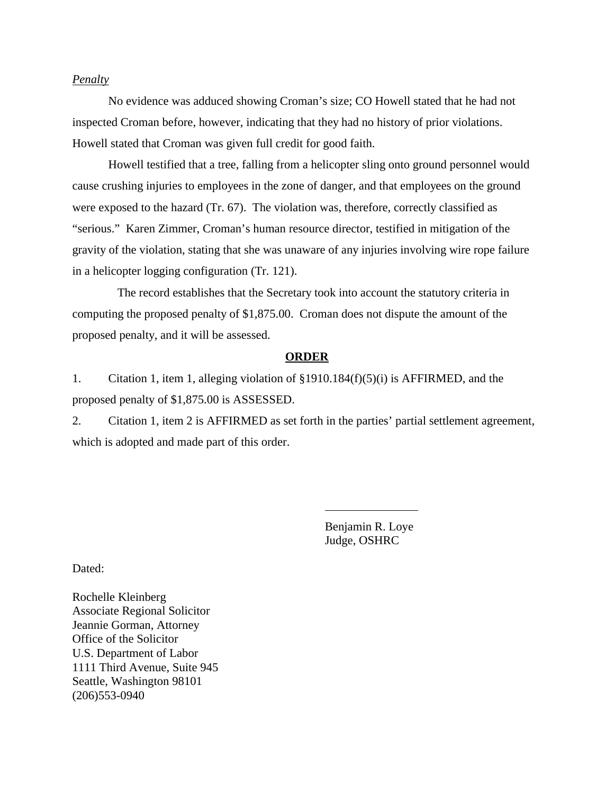## *Penalty*

No evidence was adduced showing Croman's size; CO Howell stated that he had not inspected Croman before, however, indicating that they had no history of prior violations. Howell stated that Croman was given full credit for good faith.

Howell testified that a tree, falling from a helicopter sling onto ground personnel would cause crushing injuries to employees in the zone of danger, and that employees on the ground were exposed to the hazard (Tr. 67). The violation was, therefore, correctly classified as "serious." Karen Zimmer, Croman's human resource director, testified in mitigation of the gravity of the violation, stating that she was unaware of any injuries involving wire rope failure in a helicopter logging configuration (Tr. 121).

 The record establishes that the Secretary took into account the statutory criteria in computing the proposed penalty of \$1,875.00. Croman does not dispute the amount of the proposed penalty, and it will be assessed.

#### **ORDER**

1. Citation 1, item 1, alleging violation of §1910.184(f)(5)(i) is AFFIRMED, and the proposed penalty of \$1,875.00 is ASSESSED.

2. Citation 1, item 2 is AFFIRMED as set forth in the parties' partial settlement agreement, which is adopted and made part of this order.

 $\overline{a}$ 

Benjamin R. Loye Judge, OSHRC

Dated:

Rochelle Kleinberg Associate Regional Solicitor Jeannie Gorman, Attorney Office of the Solicitor U.S. Department of Labor 1111 Third Avenue, Suite 945 Seattle, Washington 98101 (206)553-0940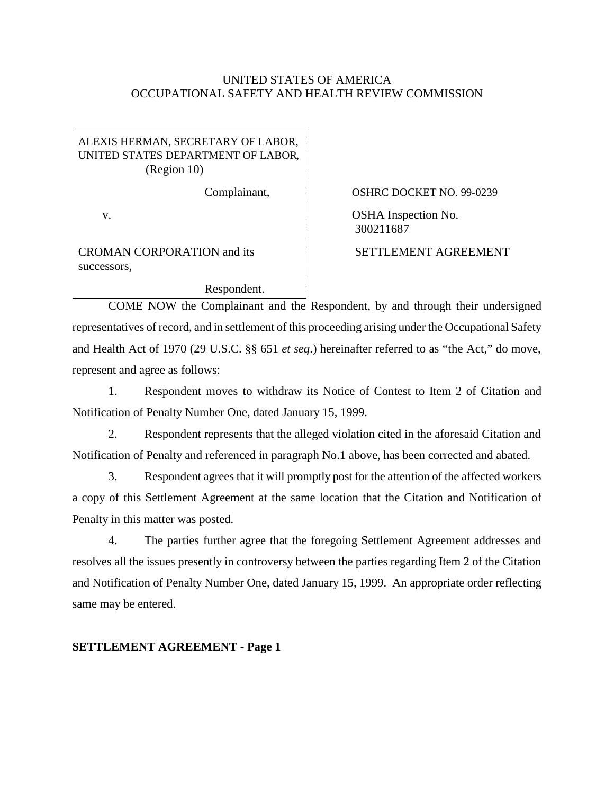## UNITED STATES OF AMERICA OCCUPATIONAL SAFETY AND HEALTH REVIEW COMMISSION

## ALEXIS HERMAN, SECRETARY OF LABOR, UNITED STATES DEPARTMENT OF LABOR, (Region 10)

Respondent.

CROMAN CORPORATION and its successors,

Complainant, 
i 
OSHRC DOCKET NO. 99-0239 v. COSHA Inspection No. 300211687

SETTLEMENT AGREEMENT

COME NOW the Complainant and the Respondent, by and through their undersigned representatives of record, and in settlement of this proceeding arising under the Occupational Safety and Health Act of 1970 (29 U.S.C. §§ 651 *et seq*.) hereinafter referred to as "the Act," do move, represent and agree as follows:

1. Respondent moves to withdraw its Notice of Contest to Item 2 of Citation and Notification of Penalty Number One, dated January 15, 1999.

2. Respondent represents that the alleged violation cited in the aforesaid Citation and Notification of Penalty and referenced in paragraph No.1 above, has been corrected and abated.

3. Respondent agrees that it will promptly post for the attention of the affected workers a copy of this Settlement Agreement at the same location that the Citation and Notification of Penalty in this matter was posted.

4. The parties further agree that the foregoing Settlement Agreement addresses and resolves all the issues presently in controversy between the parties regarding Item 2 of the Citation and Notification of Penalty Number One, dated January 15, 1999. An appropriate order reflecting same may be entered.

## **SETTLEMENT AGREEMENT - Page 1**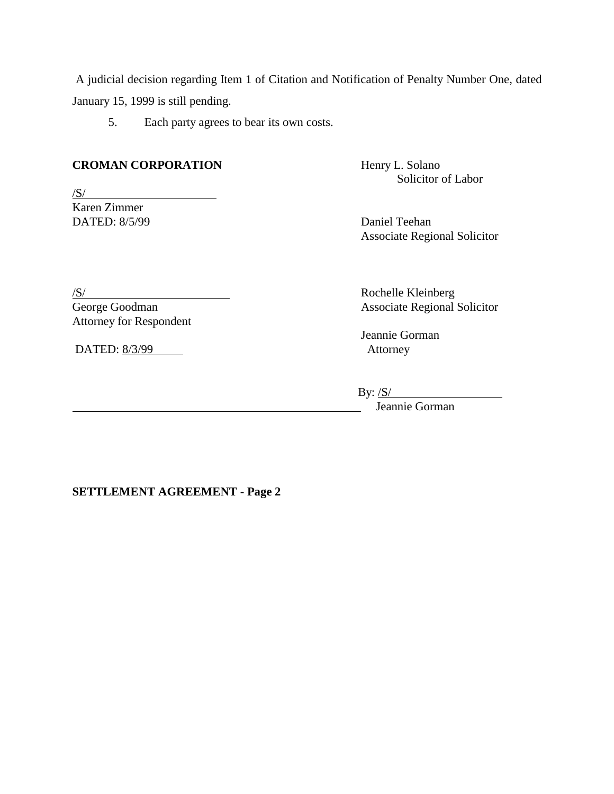A judicial decision regarding Item 1 of Citation and Notification of Penalty Number One, dated January 15, 1999 is still pending.

5. Each party agrees to bear its own costs.

## **CROMAN CORPORATION** Henry L. Solano

 $/S/$ Karen Zimmer DATED: 8/5/99 Daniel Teehan

Solicitor of Labor

Associate Regional Solicitor

# Attorney for Respondent

DATED: 8/3/99 Attorney

/S/<br>
Rochelle Kleinberg<br>
George Goodman<br>
Associate Regional Associate Regional Solicitor

Jeannie Gorman

By:  $\frac{\text{S}}{\text{S}}$ Jeannie Gorman

## **SETTLEMENT AGREEMENT - Page 2**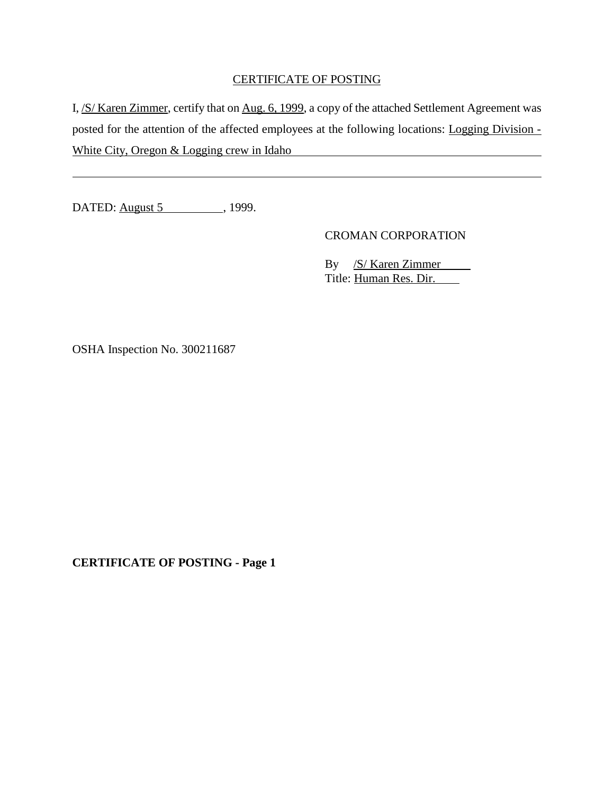## CERTIFICATE OF POSTING

I, /S/ Karen Zimmer, certify that on Aug. 6, 1999, a copy of the attached Settlement Agreement was posted for the attention of the affected employees at the following locations: Logging Division - White City, Oregon & Logging crew in Idaho

DATED: <u>August 5</u> , 1999.

 $\overline{a}$ 

CROMAN CORPORATION

By /S/ Karen Zimmer Title: Human Res. Dir.

OSHA Inspection No. 300211687

**CERTIFICATE OF POSTING - Page 1**